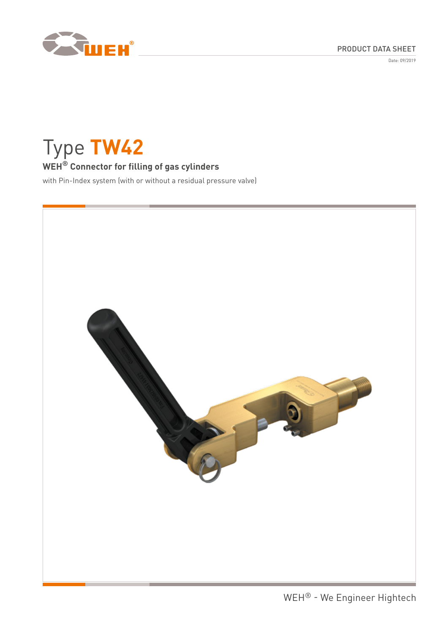



Date: 09/2019

Type **TW42**

# **WEH® Connector for filling of gas cylinders**

with Pin-Index system (with or without a residual pressure valve)

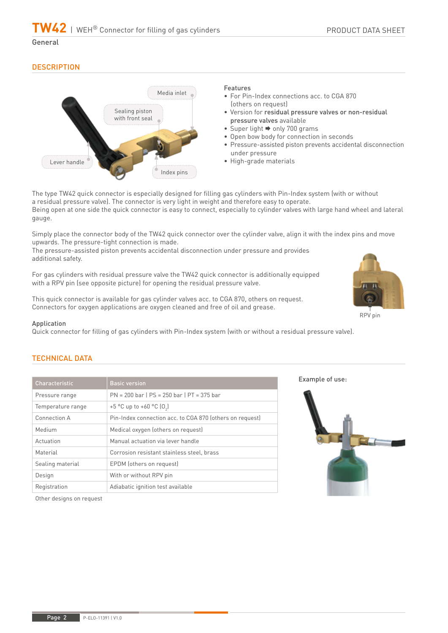**TW42** | WEH® Connector for filling of gas cylinders

General

# **DESCRIPTION**



## Features

- For Pin-Index connections acc. to CGA 870 (others on request)
- Version for residual pressure valves or non-residual pressure valves available
- Super light  $\Rightarrow$  only 700 grams
- Open bow body for connection in seconds
- Pressure-assisted piston prevents accidental disconnection under pressure
- High-grade materials

The type TW42 quick connector is especially designed for filling gas cylinders with Pin-Index system (with or without a residual pressure valve). The connector is very light in weight and therefore easy to operate. Being open at one side the quick connector is easy to connect, especially to cylinder valves with large hand wheel and lateral gauge.

Simply place the connector body of the TW42 quick connector over the cylinder valve, align it with the index pins and move upwards. The pressure-tight connection is made.

The pressure-assisted piston prevents accidental disconnection under pressure and provides additional safety.

For gas cylinders with residual pressure valve the TW42 quick connector is additionally equipped with a RPV pin (see opposite picture) for opening the residual pressure valve.

This quick connector is available for gas cylinder valves acc. to CGA 870, others on request. Connectors for oxygen applications are oxygen cleaned and free of oil and grease.

## Application

Quick connector for filling of gas cylinders with Pin-Index system (with or without a residual pressure valve).

# TECHNICAL DATA

| Characteristic    | <b>Basic version</b>                                     |
|-------------------|----------------------------------------------------------|
| Pressure range    | $PN = 200$ bar   $PS = 250$ bar   $PT = 375$ bar         |
| Temperature range | +5 °C up to +60 °C $[0,]$                                |
| Connection A      | Pin-Index connection acc. to CGA 870 (others on request) |
| Medium            | Medical oxygen (others on request)                       |
| Actuation         | Manual actuation via lever handle                        |
| Material          | Corrosion resistant stainless steel, brass               |
| Sealing material  | EPDM (others on request)                                 |
| Design            | With or without RPV pin                                  |
| Registration      | Adiabatic ignition test available                        |

Example of use:



RPV pin

Other designs on request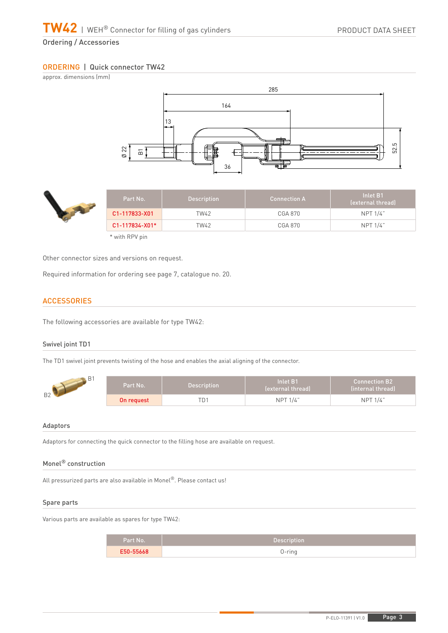Ordering / Accessories

# ORDERING | Quick connector TW42

approx. dimensions (mm)





\* with RPV pin

Other connector sizes and versions on request.

Required information for ordering see page 7, catalogue no. 20.

# **ACCESSORIES**

The following accessories are available for type TW42:

## Swivel joint TD1

The TD1 swivel joint prevents twisting of the hose and enables the axial aligning of the connector.



#### Adaptors

Adaptors for connecting the quick connector to the filling hose are available on request.

## Monel® construction

All pressurized parts are also available in Monel®. Please contact us!

#### Spare parts

Various parts are available as spares for type TW42:

| Part No.  | <b>Description</b> |
|-----------|--------------------|
| E50-55668 | n ring<br>i III y  |